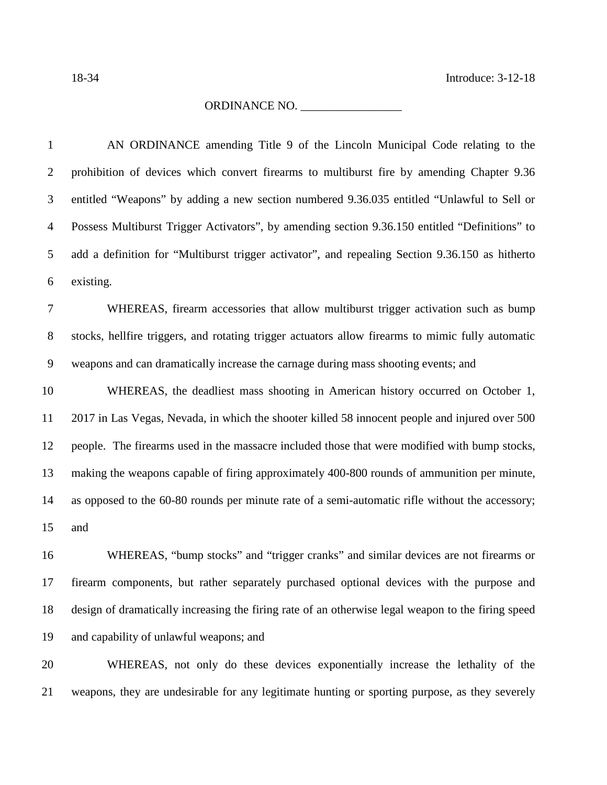18-34 Introduce: 3-12-18

## ORDINANCE NO. \_\_\_\_\_\_\_\_\_\_\_\_\_\_\_\_\_

| $\mathbf{1}$   | AN ORDINANCE amending Title 9 of the Lincoln Municipal Code relating to the                        |
|----------------|----------------------------------------------------------------------------------------------------|
| $\overline{2}$ | prohibition of devices which convert firearms to multiburst fire by amending Chapter 9.36          |
| 3              | entitled "Weapons" by adding a new section numbered 9.36.035 entitled "Unlawful to Sell or         |
| $\overline{4}$ | Possess Multiburst Trigger Activators", by amending section 9.36.150 entitled "Definitions" to     |
| 5              | add a definition for "Multiburst trigger activator", and repealing Section 9.36.150 as hitherto    |
| 6              | existing.                                                                                          |
| $\tau$         | WHEREAS, firearm accessories that allow multiburst trigger activation such as bump                 |
| $8\,$          | stocks, hellfire triggers, and rotating trigger actuators allow firearms to mimic fully automatic  |
| $\mathbf{9}$   | weapons and can dramatically increase the carnage during mass shooting events; and                 |
| 10             | WHEREAS, the deadliest mass shooting in American history occurred on October 1,                    |
| 11             | 2017 in Las Vegas, Nevada, in which the shooter killed 58 innocent people and injured over 500     |
| 12             | people. The firearms used in the massacre included those that were modified with bump stocks,      |
| 13             | making the weapons capable of firing approximately 400-800 rounds of ammunition per minute,        |
| 14             | as opposed to the 60-80 rounds per minute rate of a semi-automatic rifle without the accessory;    |
| 15             | and                                                                                                |
| 16             | WHEREAS, "bump stocks" and "trigger cranks" and similar devices are not firearms or                |
| 17             | firearm components, but rather separately purchased optional devices with the purpose and          |
| 18             | design of dramatically increasing the firing rate of an otherwise legal weapon to the firing speed |
| 19             | and capability of unlawful weapons; and                                                            |

 WHEREAS, not only do these devices exponentially increase the lethality of the weapons, they are undesirable for any legitimate hunting or sporting purpose, as they severely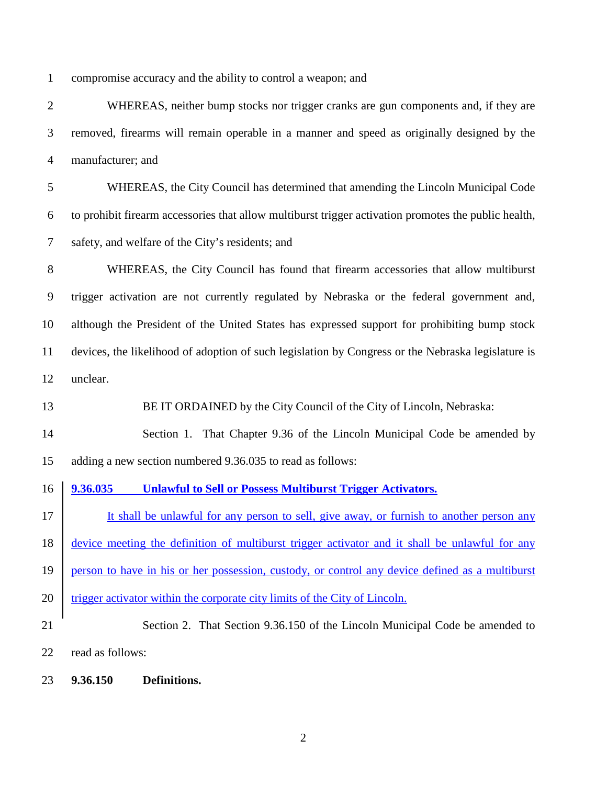compromise accuracy and the ability to control a weapon; and

 WHEREAS, neither bump stocks nor trigger cranks are gun components and, if they are removed, firearms will remain operable in a manner and speed as originally designed by the manufacturer; and

 WHEREAS, the City Council has determined that amending the Lincoln Municipal Code to prohibit firearm accessories that allow multiburst trigger activation promotes the public health, safety, and welfare of the City's residents; and

 WHEREAS, the City Council has found that firearm accessories that allow multiburst trigger activation are not currently regulated by Nebraska or the federal government and, although the President of the United States has expressed support for prohibiting bump stock devices, the likelihood of adoption of such legislation by Congress or the Nebraska legislature is unclear.

BE IT ORDAINED by the City Council of the City of Lincoln, Nebraska:

 Section 1. That Chapter 9.36 of the Lincoln Municipal Code be amended by adding a new section numbered 9.36.035 to read as follows:

**9.36.035 Unlawful to Sell or Possess Multiburst Trigger Activators.** 

17 It shall be unlawful for any person to sell, give away, or furnish to another person any 18 <u>device meeting the definition of multiburst trigger activator and it shall be unlawful for any</u>

person to have in his or her possession, custody, or control any device defined as a multiburst

- 20 trigger activator within the corporate city limits of the City of Lincoln.
- Section 2. That Section 9.36.150 of the Lincoln Municipal Code be amended to

read as follows:

**9.36.150 Definitions.**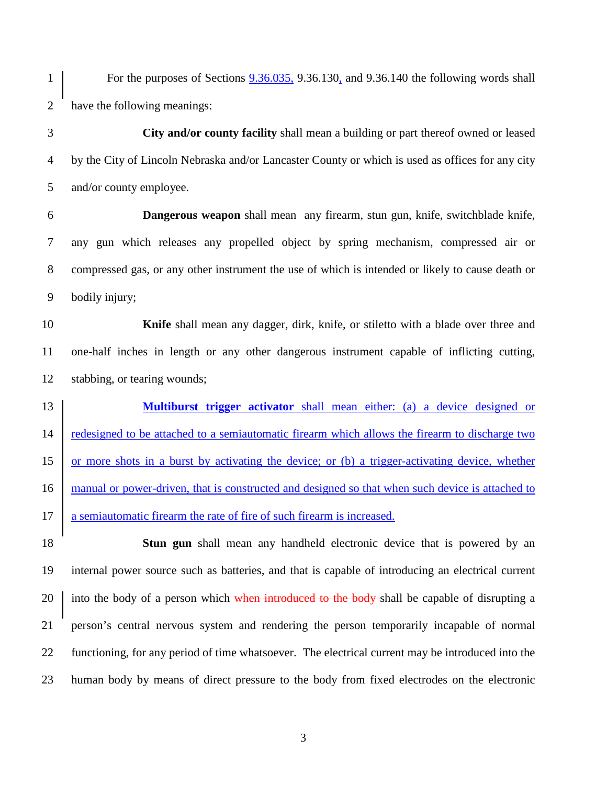For the purposes of Sections 9.36.035, 9.36.130, and 9.36.140 the following words shall have the following meanings:

 **City and/or county facility** shall mean a building or part thereof owned or leased by the City of Lincoln Nebraska and/or Lancaster County or which is used as offices for any city and/or county employee.

 **Dangerous weapon** shall mean any firearm, stun gun, knife, switchblade knife, any gun which releases any propelled object by spring mechanism, compressed air or compressed gas, or any other instrument the use of which is intended or likely to cause death or bodily injury;

 **Knife** shall mean any dagger, dirk, knife, or stiletto with a blade over three and one-half inches in length or any other dangerous instrument capable of inflicting cutting, stabbing, or tearing wounds;

 **Multiburst trigger activator** shall mean either: (a) a device designed or redesigned to be attached to a semiautomatic firearm which allows the firearm to discharge two or more shots in a burst by activating the device; or (b) a trigger-activating device, whether 16 manual or power-driven, that is constructed and designed so that when such device is attached to 17 a semiautomatic firearm the rate of fire of such firearm is increased.

 **Stun gun** shall mean any handheld electronic device that is powered by an internal power source such as batteries, and that is capable of introducing an electrical current 20 into the body of a person which when introduced to the body-shall be capable of disrupting a person's central nervous system and rendering the person temporarily incapable of normal functioning, for any period of time whatsoever. The electrical current may be introduced into the human body by means of direct pressure to the body from fixed electrodes on the electronic